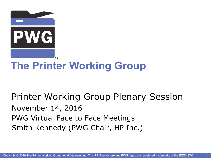

# **The Printer Working Group**

Printer Working Group Plenary Session November 14, 2016 PWG Virtual Face to Face Meetings Smith Kennedy (PWG Chair, HP Inc.)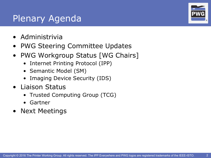### Plenary Agenda

- Administrivia
- PWG Steering Committee Updates
- PWG Workgroup Status [WG Chairs]
	- Internet Printing Protocol (IPP)
	- Semantic Model (SM)
	- Imaging Device Security (IDS)
- Liaison Status
	- Trusted Computing Group (TCG)
	- Gartner
- Next Meetings



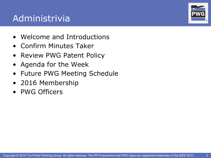## Administrivia

- Welcome and Introductions
- Confirm Minutes Taker
- Review PWG Patent Policy
- Agenda for the Week
- Future PWG Meeting Schedule
- 2016 Membership
- PWG Officers



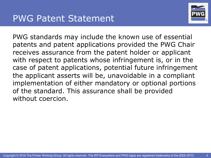

PWG standards may include the known use of essential patents and patent applications provided the PWG Chair receives assurance from the patent holder or applicant with respect to patents whose infringement is, or in the case of patent applications, potential future infringement the applicant asserts will be, unavoidable in a compliant implementation of either mandatory or optional portions of the standard. This assurance shall be provided without coercion.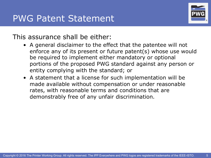

#### This assurance shall be either:

- A general disclaimer to the effect that the patentee will not enforce any of its present or future patent(s) whose use would be required to implement either mandatory or optional portions of the proposed PWG standard against any person or entity complying with the standard; or
- A statement that a license for such implementation will be made available without compensation or under reasonable rates, with reasonable terms and conditions that are demonstrably free of any unfair discrimination.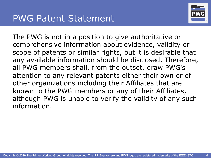

The PWG is not in a position to give authoritative or comprehensive information about evidence, validity or scope of patents or similar rights, but it is desirable that any available information should be disclosed. Therefore, all PWG members shall, from the outset, draw PWG's attention to any relevant patents either their own or of other organizations including their Affiliates that are known to the PWG members or any of their Affiliates, although PWG is unable to verify the validity of any such information.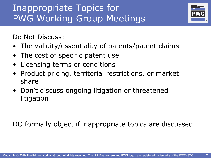## Inappropriate Topics for PWG Working Group Meetings

Do Not Discuss:

• The validity/essentiality of patents/patent claims

®

- The cost of specific patent use
- Licensing terms or conditions
- Product pricing, territorial restrictions, or market share
- Don't discuss ongoing litigation or threatened litigation

DO formally object if inappropriate topics are discussed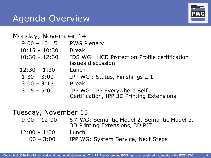#### Agenda Overview

#### Monday, November 14

- 9:00 10:15 PWG Plenary
- 10:15 10:30 Break
- 10:30 12:30 IDS WG : HCD Protection Profile certification issues discussion
- 12:30 1:30 Lunch
- 1:30 3:00 IPP WG : Status, Finishings 2.1
- 3:00 3:15 Break
- 3:15 5:00 IPP WG: IPP Everywhere Self Certification, IPP 3D Printing Extensions

## Tuesday, November 15

- 9:00 12:00 SM WG: Semantic Model 2, Semantic Model 3, 3D Printing Extensions, 3D PJT
- $12:00 1:00$  Lunch
	- 1:00 3:00 IPP WG: System Service, Next Steps

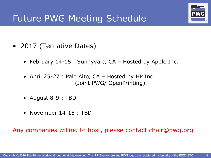

### Future PWG Meeting Schedule

- 2017 (Tentative Dates)
	- February 14-15 : Sunnyvale, CA Hosted by Apple Inc.
	- April 25-27 : Palo Alto, CA Hosted by HP Inc. (Joint PWG/ OpenPrinting)
	- August 8-9 : TBD
	- November 14-15 : TBD

Any companies willing to host, please contact chair@pwg.org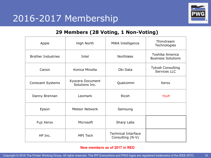

#### **29 Members (28 Voting, 1 Non-Voting)**

| Apple                     | High North                         | <b>MWA Intelligence</b>                        | Thinxtream<br>Technologies                   |  |  |  |
|---------------------------|------------------------------------|------------------------------------------------|----------------------------------------------|--|--|--|
| <b>Brother Industries</b> | Intel                              | Northlake                                      | Toshiba America<br><b>Business Solutions</b> |  |  |  |
| Canon                     | Konica Minolta                     | Oki Data                                       | Tykodi Consulting<br>Services LLC            |  |  |  |
| <b>Conexant Systems</b>   | Kyocera Document<br>Solutions Inc. | Qualcomm                                       | Xerox                                        |  |  |  |
| Danny Brennan             | Lexmark                            | <b>Ricoh</b>                                   | <b>YSoft</b>                                 |  |  |  |
| Epson                     | <b>Meteor Network</b>              | Samsung                                        |                                              |  |  |  |
| Fuji Xerox                | Microsoft                          | Sharp Labs                                     |                                              |  |  |  |
| HP Inc.                   | <b>MPI Tech</b>                    | <b>Technical Interface</b><br>Consulting (N-V) |                                              |  |  |  |

#### **New members as of 2017 in RED**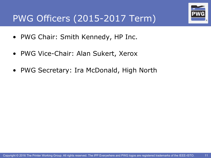

## PWG Officers (2015-2017 Term)

- PWG Chair: Smith Kennedy, HP Inc.
- PWG Vice-Chair: Alan Sukert, Xerox
- PWG Secretary: Ira McDonald, High North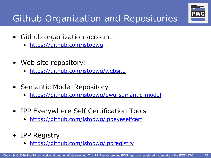

# Github Organization and Repositories

- Github organization account:
	- https://github.com/istopwg
- Web site repository:
	- https://github.com/istopwg/website
- Semantic Model Repository
	- https://github.com/istopwg/pwg-semantic-model
- IPP Everywhere Self Certification Tools
	- https://github.com/istopwg/ippeveselfcert
- IPP Registry
	- https://github.com/istopwg/ippregistry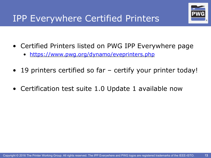

- Certified Printers listed on PWG IPP Everywhere page
	- https://www.pwg.org/dynamo/eveprinters.php
- 19 printers certified so far certify your printer today!
- Certification test suite 1.0 Update 1 available now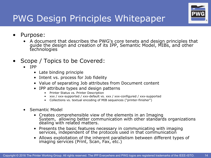

## PWG Design Principles Whitepaper

- Purpose:
	- A document that describes the PWG's core tenets and design principles that guide the design and creation of its IPP, Semantic Model, MIBs, and other technologies
- Scope / Topics to be Covered:
	- IPP
		- Late binding principle
		- Intent vs. process for Job fidelity
		- Value of separating Job attributes from Document content
		- IPP attribute types and design patterns
			- Printer Status vs. Printer Description
			- xxx / xxx-supported / xxx-default vs. xxx / xxx-configured / xxx-supported
			- Collections vs. textual encoding of MIB sequences ("printer-finisher")
	- Semantic Model
		- Creates comprehensible view of the elements in an Imaging System, allowing better communication with other standards organizations dealing with related matters.
		- Presents the basic features necessary in communicating with imaging services, independent of the protocols used in that communication
		- Allows exploitation of the inherent parallelism between different types of imaging services (Print, Scan, Fax, etc.)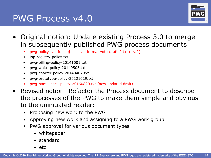#### PWG Process v4.0



- Original notion: Update existing Process 3.0 to merge in subsequently published PWG process documents
	- pwg-policy-call-for-obj-last-call-formal-vote-draft-2.txt (draft)
	- ipp-registry-policy.txt
	- pwg-billing-policy-20141001.txt
	- pwg-white-policy-20140505.txt
	- pwg-charter-policy-20140407.txt
	- pwg-prototype-policy-20121029.txt
	- pwg-namespace-policy-20160820.txt (new updated draft)
- Revised notion: Refactor the Process document to describe the processes of the PWG to make them simple and obvious to the uninitiated reader:
	- Proposing new work to the PWG
	- Approving new work and assigning to a PWG work group
	- PWG approval for various document types
		- whitepaper
		- standard
		- etc.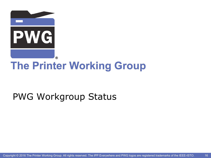

# **The Printer Working Group**

# PWG Workgroup Status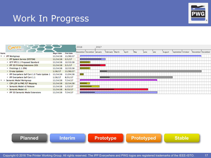#### Work In Progress



|              | <b>GARTT</b><br>project                       |                   |                 | 2016                      | 2017 |                |        |      |      |      |        |                                 |  |                   |
|--------------|-----------------------------------------------|-------------------|-----------------|---------------------------|------|----------------|--------|------|------|------|--------|---------------------------------|--|-------------------|
| Name         |                                               | <b>Begin date</b> | <b>End date</b> | November December January |      | February March | 'April | 'Mav | lune | July | August | 'September <sup>'</sup> October |  | November December |
| ▼<br>$\circ$ | <b>IPP Workgroup</b>                          | 11/14/16          | 11/30/17        |                           |      |                |        |      |      |      |        |                                 |  |                   |
|              | • IPP System Service (SYSTEM)                 | 11/14/16          | 2/1/17          |                           |      |                |        |      |      |      |        |                                 |  |                   |
|              | ◎ IETF IPP/1.1 Proposed Standard              | 11/14/16          | 12/15/16        |                           |      |                |        |      |      |      |        |                                 |  |                   |
|              | • IPP 3D Printing Extensions (3D)             | 11/14/16          | 2/1/17          |                           |      |                |        |      |      |      |        |                                 |  |                   |
|              | ● Finishings 2.1 (FIN)                        | 11/14/16          | 12/15/16        |                           |      |                |        |      |      |      |        |                                 |  |                   |
|              | ● Errata Updates                              | 1/16/17           | 11/30/17        |                           |      |                |        |      |      |      |        |                                 |  |                   |
|              | · IPP Everywhere Self Cert 1.0 Tools Update 1 | 11/14/16          | 11/24/16        | $\overline{\phantom{0}}$  |      |                |        |      |      |      |        |                                 |  |                   |
|              | <sup>o</sup> IPP Everywhere Self Cert 1.1     | 1/16/17           | 8/31/17         |                           |      |                |        |      |      |      |        |                                 |  |                   |
|              | Semantic Model Workgroup                      | 11/14/16          | 7/14/17         |                           |      |                |        |      |      |      |        |                                 |  |                   |
|              | © CIP4 JDF to PWG PJT Mapping                 | 11/14/16          | 12/14/16        |                           |      |                |        |      |      |      |        |                                 |  |                   |
|              | Semantic Model v2 Release<br>$\circ$          | 11/14/16          | 1/13/17         |                           |      |                |        |      |      |      |        |                                 |  |                   |
|              | ● Semantic Model v3                           | 11/14/16          | 6/15/17         |                           |      |                |        |      |      |      |        |                                 |  |                   |
|              | • IPP 3D Semantic Model Extensions            | 11/14/16          | 7/14/17         |                           |      |                |        |      |      |      |        |                                 |  |                   |
|              |                                               |                   |                 |                           |      |                |        |      |      |      |        |                                 |  |                   |

**Planned Interim Prototype Prototyped Stable**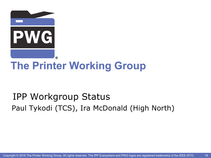

# **The Printer Working Group**

# IPP Workgroup Status Paul Tykodi (TCS), Ira McDonald (High North)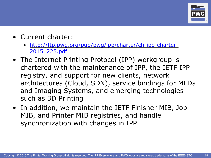

19

- Current charter:
	- http://ftp.pwg.org/pub/pwg/ipp/charter/ch-ipp-charter-20151225.pdf
- The Internet Printing Protocol (IPP) workgroup is chartered with the maintenance of IPP, the IETF IPP registry, and support for new clients, network architectures (Cloud, SDN), service bindings for MFDs and Imaging Systems, and emerging technologies such as 3D Printing
- In addition, we maintain the IETF Finisher MIB, Job MIB, and Printer MIB registries, and handle synchronization with changes in IPP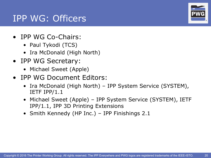#### IPP WG: Officers

- IPP WG Co-Chairs:
	- Paul Tykodi (TCS)
	- Ira McDonald (High North)
- IPP WG Secretary:
	- Michael Sweet (Apple)
- IPP WG Document Editors:
	- Ira McDonald (High North) IPP System Service (SYSTEM), IETF IPP/1.1
	- Michael Sweet (Apple) IPP System Service (SYSTEM), IETF IPP/1.1, IPP 3D Printing Extensions
	- Smith Kennedy (HP Inc.) IPP Finishings 2.1

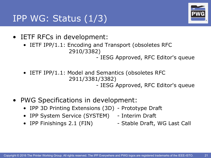® ®

21

- IETF RFCs in development:
	- IETF IPP/1.1: Encoding and Transport (obsoletes RFC 2910/3382)

- IESG Approved, RFC Editor's queue

- IETF IPP/1.1: Model and Semantics (obsoletes RFC 2911/3381/3382) - IESG Approved, RFC Editor's queue
- PWG Specifications in development:
	- IPP 3D Printing Extensions (3D) Prototype Draft
	- IPP System Service (SYSTEM) Interim Draft
	-
	- IPP Finishings 2.1 (FIN) Stable Draft, WG Last Call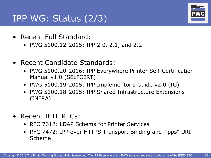### IPP WG: Status (2/3)

- Recent Full Standard:
	- PWG 5100.12-2015: IPP 2.0, 2.1, and 2.2
- Recent Candidate Standards:
	- PWG 5100.20-2016: IPP Everywhere Printer Self-Certification Manual v1.0 (SELFCERT)
	- PWG 5100.19-2015: IPP Implementor's Guide v2.0 (IG)
	- PWG 5100.18-2015: IPP Shared Infrastructure Extensions (INFRA)
- Recent IETF RFCs:
	- RFC 7612: LDAP Schema for Printer Services
	- RFC 7472: IPP over HTTPS Transport Binding and "ipps" URI Scheme



22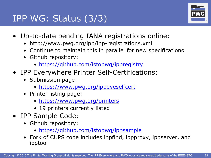# IPP WG: Status (3/3)



23

- Up-to-date pending IANA registrations online:
	- http://www.pwg.org/ipp/ipp-registrations.xml
	- Continue to maintain this in parallel for new specifications
	- Github repository:
		- https://github.com/istopwg/ippregistry
- IPP Everywhere Printer Self-Certifications:
	- Submission page:
		- https://www.pwg.org/ippeveselfcert
	- Printer listing page:
		- https://www.pwg.org/printers
		- 19 printers currently listed
- IPP Sample Code:
	- Github repository:
		- https://github.com/istopwg/ippsample
	- Fork of CUPS code includes ippfind, ippproxy, ippserver, and ipptool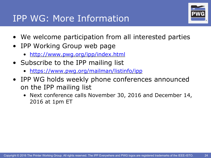### IPP WG: More Information



- We welcome participation from all interested parties
- IPP Working Group web page
	- http://www.pwg.org/ipp/index.html
- Subscribe to the IPP mailing list
	- https://www.pwg.org/mailman/listinfo/ipp
- IPP WG holds weekly phone conferences announced on the IPP mailing list
	- Next conference calls November 30, 2016 and December 14, 2016 at 1pm ET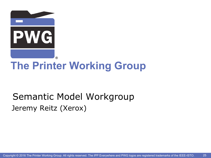

# **The Printer Working Group**

# Semantic Model Workgroup Jeremy Reitz (Xerox)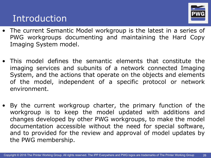#### Introduction



- The current Semantic Model workgroup is the latest in a series of PWG workgroups documenting and maintaining the Hard Copy Imaging System model.
- This model defines the semantic elements that constitute the imaging services and subunits of a network connected Imaging System, and the actions that operate on the objects and elements of the model, independent of a specific protocol or network environment.
- By the current workgroup charter, the primary function of the workgroup is to keep the model updated with additions and changes developed by other PWG workgroups, to make the model documentation accessible without the need for special software, and to provided for the review and approval of model updates by the PWG membership.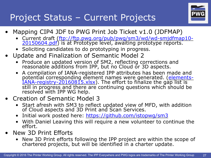

# Project Status – Current Projects

- Mapping CIP4 JDF to PWG Print Job Ticket v1.0 (JDFMAP)
	- Current draft (ftp://ftp.pwg.org/pub/pwg/sm3/wd/wd-smjdfmap10-<br>20150604.pdf) is at Prototype level, awaiting prototype reports.
	- Soliciting candidates to do prototyping in progress.
- Update and Finalization of Semantic Model 2
	- Produce an updated version of SM2, reflecting corrections and reasonable additions from IPP, but no Cloud or 3D aspects.
	- A compilation of IANA-registered IPP attributes has been made and potential corresponding element names were generated. (*elementsIANA-registry-20160815.xlsx*). The effort to finalize the gap list is still in progress and there are continuing questions which should be resolved with IPP WG help.
- Creation of Semantic Model 3
	- Start afresh with SM3 to reflect updated view of MFD, with addition of Cloud aspects and 3D Print and Scan Services.
	- Initial work posted here: https://github.com/istopwg/sm3
	- With Daniel Leaving this will require a new volunteer to continue the effort.
- New 3D Print Efforts
	- New 3D Print efforts following the IPP project are within the scope of chartered projects, but will be identified in a charter update.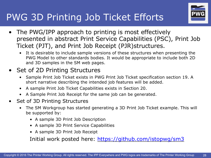# PWG 3D Printing Job Ticket Efforts



- The PWG/IPP approach to printing is most effectively presented in abstract Print Service Capabilities (PSC), Print Job Ticket (PJT), and Print Job Receipt (PJR)structures.
	- It is desirable to include sample versions of these structures when presenting the PWG Model to other standards bodies. It would be appropriate to include both 2D and 3D samples in the SM web pages.

#### • Set of 2D Printing Structures

- Sample Print Job Ticket exists in PWG Print Job Ticket specification section 19. A short narrative describing the intended job features will be added.
- A sample Print Job Ticket Capabilities exists in Section 20.
- A Sample Print Job Receipt for the same job can be generated.
- Set of 3D Printing Structures
	- The SM Workgroup has started generating a 3D Print Job Ticket example. This will be supported by:
		- A sample 3D Print Job Description
		- A sample 3D Print Service Capabilities
		- A sample 3D Print Job Receipt

Initial work posted here: https://github.com/istopwg/sm3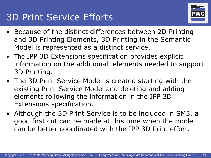# 3D Print Service Efforts



- Because of the distinct differences between 2D Printing and 3D Printing Elements, 3D Printing in the Semantic Model is represented as a distinct service.
- The IPP 3D Extensions specification provides explicit information on the additional elements needed to support 3D Printing.
- The 3D Print Service Model is created starting with the existing Print Service Model and deleting and adding elements following the information in the IPP 3D Extensions specification.
- Although the 3D Print Service is to be included in SM3, a good first cut can be made at this time when the model can be better coordinated with the IPP 3D Print effort.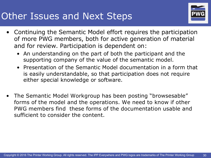## Other Issues and Next Steps



- Continuing the Semantic Model effort requires the participation of more PWG members, both for active generation of material and for review. Participation is dependent on:
	- An understanding on the part of both the participant and the supporting company of the value of the semantic model.
	- Presentation of the Semantic Model documentation in a form that is easily understandable, so that participation does not require either special knowledge or software.
- The Semantic Model Workgroup has been posting "browsesable" forms of the model and the operations. We need to know if other PWG members find these forms of the documentation usable and sufficient to consider the content.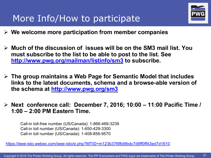### More Info/How to participate



- Ø **We welcome more participation from member companies**
- Ø **Much of the discussion of issues will be on the SM3 mail list. You must subscribe to the list to be able to post to the list. See http://www.pwg.org/mailman/listinfo/sm3 to subscribe.**
- Ø **The group maintains a Web Page for Semantic Model that includes links to the latest documents, schema and a browse-able version of the schema at http://www.pwg.org/sm3**
- Ø **Next conference call: December 7, 2016; 10:00 – 11:00 Pacific Time / 1:00 – 2:00 PM Eastern Time.**

Call-in toll-free number (US/Canada): 1-866-469-3239 Call-in toll number (US/Canada): 1-650-429-3300 Call-in toll number (US/Canada): 1-408-856-9570

https://ieee-isto.webex.com/ieee-isto/e.php?MTID=m123b376f8d9bdc7d9ff0ff43ed7d1610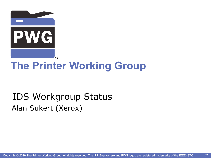

# **The Printer Working Group**

# IDS Workgroup Status Alan Sukert (Xerox)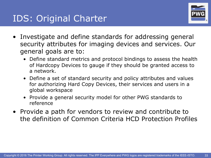

- Investigate and define standards for addressing general security attributes for imaging devices and services. Our general goals are to:
	- Define standard metrics and protocol bindings to assess the health of Hardcopy Devices to gauge if they should be granted access to a network.
	- Define a set of standard security and policy attributes and values for authorizing Hard Copy Devices, their services and users in a global workspace
	- Provide a general security model for other PWG standards to reference
- Provide a path for vendors to review and contribute to the definition of Common Criteria HCD Protection Profiles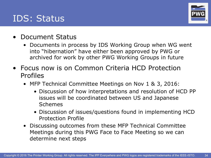#### IDS: Status



- Document Status
	- Documents in process by IDS Working Group when WG went into "hibernation" have either been approved by PWG or archived for work by other PWG Working Groups in future
- Focus now is on Common Criteria HCD Protection Profiles
	- MFP Technical Committee Meetings on Nov 1 & 3, 2016:
		- Discussion of how interpretations and resolution of HCD PP issues will be coordinated between US and Japanese Schemes
		- Discussion of issues/questions found in implementing HCD Protection Profile
	- Discussing outcomes from these MFP Technical Committee Meetings during this PWG Face to Face Meeting so we can determine next steps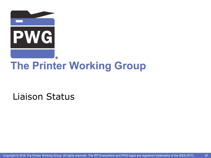

# **The Printer Working Group**

#### Liaison Status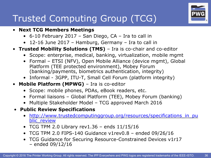# Trusted Computing Group (TCG)

#### • **Next TCG Members Meetings**

- 6-10 February 2017 San Diego, CA Ira to call in
- 12-16 June 2017 Hamburg, Germany Ira to call in
- **Trusted Mobility Solutions (TMS)**  Ira is co-chair and co-editor
	- Scope: enterprise, medical, banking, virtualization, mobile mgmt
	- Formal ETSI (NFV), Open Mobile Alliance (device mgmt), Global Platform (TEE protected environment), Mobey Forum (banking/payments, biometrics authentication, integrity)
	- Informal 3GPP, ITU-T, Small Cell Forum (platform integrity)
- **Mobile Platform (MPWG)**  Ira is co-editor
	- Scope: mobile phones, PDAs, eBook readers, etc.
	- Formal liaisons Global Platform (TEE), Mobey Forum (banking)
	- Multiple Stakeholder Model TCG approved March 2016

#### • **Public Review Specifications**

- http://www.trustedcomputinggroup.org/resources/specifications\_in\_pu blic review
- TCG TPM 2.0 Library rev1.36 ends  $11/15/16$
- TCG TPM 2.0 FIPS-140 Guidance v1rev0.8 ended 09/26/16
- TCG Guidance for Securing Resource-Constrained Devices v1r17 – ended 09/12/16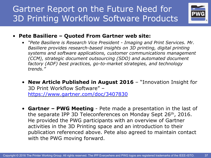### Gartner Report on the Future Need for 3D Printing Workflow Software Products



#### • **Pete Basiliere – Quoted From Gartner web site:**

- *"Pete Basiliere is Research Vice President - Imaging and Print Services. Mr. Basiliere provides research-based insights on 3D printing, digital printing systems and software applications, customer communications management (CCM), strategic document outsourcing (SDO) and automated document factory (ADF) best practices, go-to-market strategies, and technology trends."*
- **New Article Published in August 2016**  "Innovation Insight for 3D Print Workflow Software" – https://www.gartner.com/doc/3407830
- **Gartner – PWG Meeting**  Pete made a presentation in the last of the separate IPP 3D Teleconferences on Monday Sept 26th, 2016. He provided the PWG participants with an overview of Gartner activities in the 3D Printing space and an introduction to their publication referenced above. Pete also agreed to maintain contact with the PWG moving forward.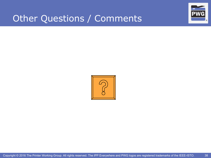### Other Questions / Comments